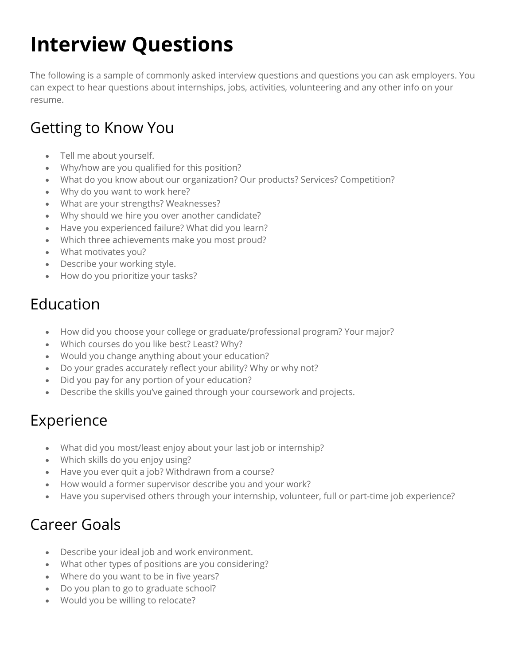# **Interview Questions**

The following is a sample of commonly asked interview questions and questions you can ask employers. You can expect to hear questions about internships, jobs, activities, volunteering and any other info on your resume.

#### Getting to Know You

- Tell me about yourself.
- Why/how are you qualified for this position?
- What do you know about our organization? Our products? Services? Competition?
- Why do you want to work here?
- What are your strengths? Weaknesses?
- Why should we hire you over another candidate?
- Have you experienced failure? What did you learn?
- Which three achievements make you most proud?
- What motivates you?
- Describe your working style.
- How do you prioritize your tasks?

## Education

- How did you choose your college or graduate/professional program? Your major?
- Which courses do you like best? Least? Why?
- Would you change anything about your education?
- Do your grades accurately reflect your ability? Why or why not?
- Did you pay for any portion of your education?
- Describe the skills you've gained through your coursework and projects.

## Experience

- What did you most/least enjoy about your last job or internship?
- Which skills do you enjoy using?
- Have you ever quit a job? Withdrawn from a course?
- How would a former supervisor describe you and your work?
- Have you supervised others through your internship, volunteer, full or part-time job experience?

## Career Goals

- Describe your ideal job and work environment.
- What other types of positions are you considering?
- Where do you want to be in five years?
- Do you plan to go to graduate school?
- Would you be willing to relocate?